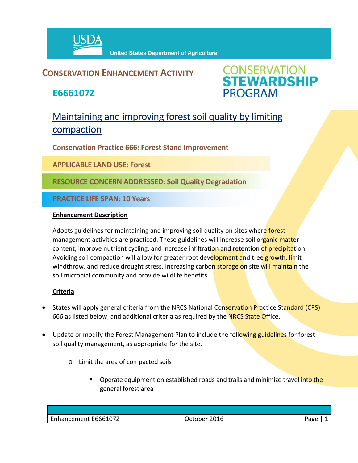

### **CONSERVATION ENHANCEMENT ACTIVITY**

**E666107Z**



## Maintaining and improving forest soil quality by limiting compaction

**Conservation Practice 666: Forest Stand Improvement**

**APPLICABLE LAND USE: Forest**

**RESOURCE CONCERN ADDRESSED: Soil Quality Degradation**

**PRACTICE LIFE SPAN: 10 Years**

#### **Enhancement Description**

Adopts guidelines for maintaining and improving soil quality on sites where forest management activities are practiced. These guidelines will increase soil organic matter content, improve nutrient cycling, and increase infiltration and retention of precipitation. Avoiding soil compaction will allow for greater root development and tree growth, limit windthrow, and reduce drought stress. Increasing carbon storage on site will maintain the soil microbial community and provide wildlife benefits.

#### **Criteria**

- States will apply general criteria from the NRCS National Conservation Practice Standard (CPS) 666 as listed below, and additional criteria as required by the **NRCS State Office.**
- Update or modify the Forest Management Plan to include the following guidelines for forest soil quality management, as appropriate for the site.
	- o Limit the area of compacted soils
		- Operate equipment on established roads and trails and minimize travel into the general forest area

| Enhancement E666107Z | 2016<br>October | Page |
|----------------------|-----------------|------|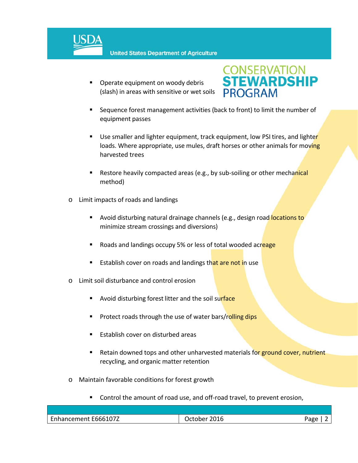

 Operate equipment on woody debris (slash) in areas with sensitive or wet soils



- Sequence forest management activities (back to front) to limit the number of equipment passes
- Use smaller and lighter equipment, track equipment, low PSI tires, and lighter loads. Where appropriate, use mules, draft horses or other animals for moving harvested trees
- Restore heavily compacted areas (e.g., by sub-soiling or other mechanical method)
- o Limit impacts of roads and landings
	- Avoid disturbing natural drainage channels (e.g., design road locations to minimize stream crossings and diversions)
	- Roads and landings occupy 5% or less of total wooded acreage
	- Establish cover on roads and landings that are not in use
- o Limit soil disturbance and control erosion
	- Avoid disturbing forest litter and the soil surface
	- Protect roads through the use of water bars/rolling dips
	- Establish cover on disturbed areas
	- **EXECT** Retain downed tops and other unharvested materials for ground cover, nutrient recycling, and organic matter retention
- o Maintain favorable conditions for forest growth
	- Control the amount of road use, and off‐road travel, to prevent erosion,

| $\overline{\phantom{0}}$<br>Enhancement E666107Z | − 10∟.<br>ctope.<br>____ | ∩מגּ |
|--------------------------------------------------|--------------------------|------|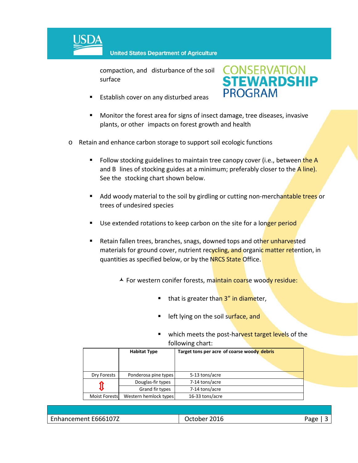

compaction, and disturbance of the soil surface





- Monitor the forest area for signs of insect damage, tree diseases, invasive plants, or other impacts on forest growth and health
- o Retain and enhance carbon storage to support soil ecologic functions
	- Follow stocking guidelines to maintain tree canopy cover (i.e., between the A and B lines of stocking guides at a minimum; preferably closer to the  $\overline{A}$  line). See the stocking chart shown below.
	- Add woody material to the soil by girdling or cutting non-merchantable trees or trees of undesired species
	- Use extended rotations to keep carbon on the site for a longer period
	- Retain fallen trees, branches, snags, downed tops and other unharvested materials for ground cover, nutrient recycling, and organic matter retention, in quantities as specified below, or by the NRCS State Office.
		- A For western conifer forests, maintain coarse woody residue:
			- that is greater than 3" in diameter,
			- **E** left lying on the soil surface, and
			- which meets the post-harvest target levels of the following chart:

|               | <b>Habitat Type</b>   | Target tons per acre of coarse woody debris |  |
|---------------|-----------------------|---------------------------------------------|--|
| Dry Forests   | Ponderosa pine types  | 5-13 tons/acre                              |  |
|               | Douglas-fir types     | 7-14 tons/acre                              |  |
|               | Grand fir types       | 7-14 tons/acre                              |  |
| Moist Forests | Western hemlock types | 16-33 tons/acre                             |  |

| Enhancement E666107Z | 2016<br><b>Jctober</b> | Page |
|----------------------|------------------------|------|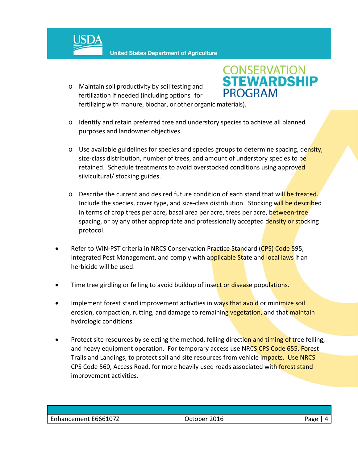

o Maintain soil productivity by soil testing and fertilization if needed (including options for fertilizing with manure, biochar, or other organic materials).



- o Identify and retain preferred tree and understory species to achieve all planned purposes and landowner objectives.
- $\circ$  Use available guidelines for species and species groups to determine spacing, density, size-class distribution, number of trees, and amount of understory species to be retained. Schedule treatments to avoid overstocked conditions using approved silvicultural/ stocking guides.
- o Describe the current and desired future condition of each stand that will be treated. Include the species, cover type, and size-class distribution. Stocking will be described in terms of crop trees per acre, basal area per acre, trees per acre, between-tree spacing, or by any other appropriate and professionally accepted density or stocking protocol.
- Refer to WIN-PST criteria in NRCS Conservation Practice Standard (CPS) Code 595, Integrated Pest Management, and comply with applicable State and local laws if an herbicide will be used.
- Time tree girdling or felling to avoid buildup of insect or disease populations.
- Implement forest stand improvement activities in ways that avoid or minimize soil erosion, compaction, rutting, and damage to remaining vegetation, and that maintain hydrologic conditions.
- Protect site resources by selecting the method, felling direction and timing of tree felling, and heavy equipment operation. For temporary access use NRCS CPS Code 655, Forest Trails and Landings, to protect soil and site resources from vehicle impacts. Use NRCS CPS Code 560, Access Road, for more heavily used roads associated with forest stand improvement activities.

| Enhancement E666107Z<br>2016<br>October<br>Page |  |
|-------------------------------------------------|--|